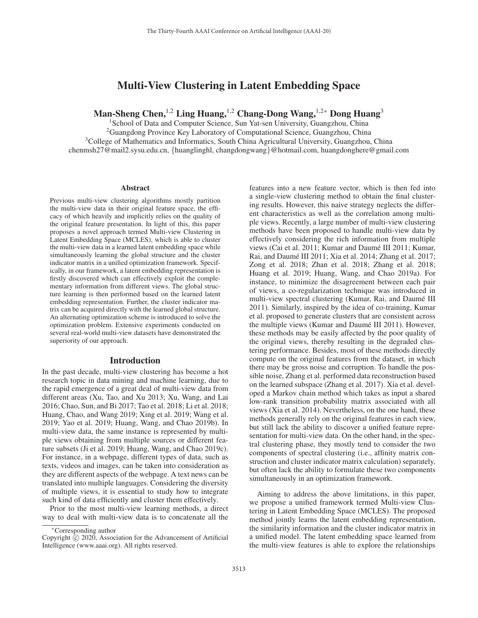# Multi-View Clustering in Latent Embedding Space

Man-Sheng Chen,<sup>1,2</sup> Ling Huang,<sup>1,2</sup> Chang-Dong Wang,<sup>1,2∗</sup> Dong Huang<sup>3</sup>

<sup>1</sup> School of Data and Computer Science, Sun Yat-sen University, Guangzhou, China  ${}^{2}$ Guangdong Province Key Laboratory of Computational Science, Guangzhou, China <sup>3</sup>College of Mathematics and Informatics, South China Agricultural University, Guangzhou, China chenmsh27@mail2.sysu.edu.cn, {huanglinghl, changdongwang}@hotmail.com, huangdonghere@gmail.com

#### Abstract

Previous multi-view clustering algorithms mostly partition the multi-view data in their original feature space, the efficacy of which heavily and implicitly relies on the quality of the original feature presentation. In light of this, this paper proposes a novel approach termed Multi-view Clustering in Latent Embedding Space (MCLES), which is able to cluster the multi-view data in a learned latent embedding space while simultaneously learning the global structure and the cluster indicator matrix in a unified optimization framework. Specifically, in our framework, a latent embedding representation is firstly discovered which can effectively exploit the complementary information from different views. The global structure learning is then performed based on the learned latent embedding representation. Further, the cluster indicator matrix can be acquired directly with the learned global structure. An alternating optimization scheme is introduced to solve the optimization problem. Extensive experiments conducted on several real-world multi-view datasets have demonstrated the superiority of our approach.

#### Introduction

In the past decade, multi-view clustering has become a hot research topic in data mining and machine learning, due to the rapid emergence of a great deal of multi-view data from different areas (Xu, Tao, and Xu 2013; Xu, Wang, and Lai 2016; Chao, Sun, and Bi 2017; Tao et al. 2018; Li et al. 2018; Huang, Chao, and Wang 2019; Xing et al. 2019; Wang et al. 2019; Yao et al. 2019; Huang, Wang, and Chao 2019b). In multi-view data, the same instance is represented by multiple views obtaining from multiple sources or different feature subsets (Ji et al. 2019; Huang, Wang, and Chao 2019c). For instance, in a webpage, different types of data, such as texts, videos and images, can be taken into consideration as they are different aspects of the webpage. A text news can be translated into multiple languages. Considering the diversity of multiple views, it is essential to study how to integrate such kind of data efficiently and cluster them effectively.

Prior to the most multi-view learning methods, a direct way to deal with multi-view data is to concatenate all the

features into a new feature vector, which is then fed into a single-view clustering method to obtain the final clustering results. However, this naive strategy neglects the different characteristics as well as the correlation among multiple views. Recently, a large number of multi-view clustering methods have been proposed to handle multi-view data by effectively considering the rich information from multiple views (Cai et al. 2011; Kumar and Daumé III 2011; Kumar, Rai, and Daumé III 2011; Xia et al. 2014; Zhang et al. 2017; Zong et al. 2018; Zhan et al. 2018; Zhang et al. 2018; Huang et al. 2019; Huang, Wang, and Chao 2019a). For instance, to minimize the disagreement between each pair of views, a co-regularization technique was introduced in multi-view spectral clustering (Kumar, Rai, and Daumé III 2011). Similarly, inspired by the idea of co-training, Kumar et al. proposed to generate clusters that are consistent across the multiple views (Kumar and Daumé III 2011). However, these methods may be easily affected by the poor quality of the original views, thereby resulting in the degraded clustering performance. Besides, most of these methods directly compute on the original features from the dataset, in which there may be gross noise and corruption. To handle the possible noise, Zhang et al. performed data reconstruction based on the learned subspace (Zhang et al. 2017). Xia et al. developed a Markov chain method which takes as input a shared low-rank transition probability matrix associated with all views (Xia et al. 2014). Nevertheless, on the one hand, these methods generally rely on the original features in each view, but still lack the ability to discover a unified feature representation for multi-view data. On the other hand, in the spectral clustering phase, they mostly tend to consider the two components of spectral clustering (i.e., affinity matrix construction and cluster indicator matrix calculation) separately, but often lack the ability to formulate these two components simultaneously in an optimization framework.

Aiming to address the above limitations, in this paper, we propose a unified framework termed Multi-view Clustering in Latent Embedding Space (MCLES). The proposed method jointly learns the latent embedding representation, the similarity information and the cluster indicator matrix in a unified model. The latent embedding space learned from the multi-view features is able to explore the relationships

<sup>∗</sup>Corresponding author

Copyright  $\odot$  2020, Association for the Advancement of Artificial Intelligence (www.aaai.org). All rights reserved.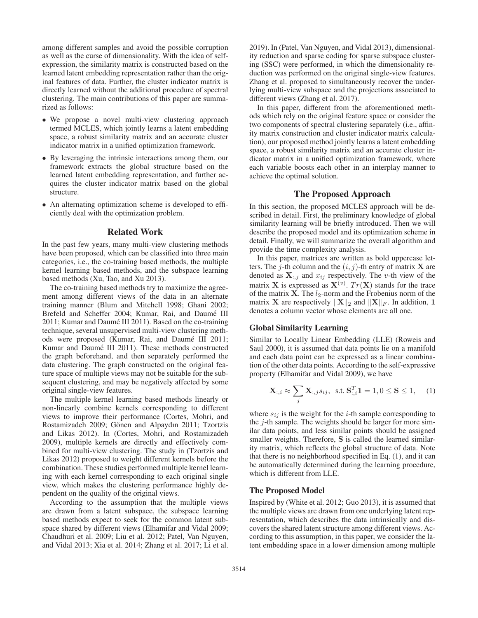among different samples and avoid the possible corruption as well as the curse of dimensionality. With the idea of selfexpression, the similarity matrix is constructed based on the learned latent embedding representation rather than the original features of data. Further, the cluster indicator matrix is directly learned without the additional procedure of spectral clustering. The main contributions of this paper are summarized as follows:

- We propose a novel multi-view clustering approach termed MCLES, which jointly learns a latent embedding space, a robust similarity matrix and an accurate cluster indicator matrix in a unified optimization framework.
- By leveraging the intrinsic interactions among them, our framework extracts the global structure based on the learned latent embedding representation, and further acquires the cluster indicator matrix based on the global structure.
- An alternating optimization scheme is developed to efficiently deal with the optimization problem.

#### Related Work

In the past few years, many multi-view clustering methods have been proposed, which can be classified into three main categories, i.e., the co-training based methods, the multiple kernel learning based methods, and the subspace learning based methods (Xu, Tao, and Xu 2013).

The co-training based methods try to maximize the agreement among different views of the data in an alternate training manner (Blum and Mitchell 1998; Ghani 2002; Brefeld and Scheffer 2004; Kumar, Rai, and Daumé III 2011; Kumar and Daumé III 2011). Based on the co-training technique, several unsupervised multi-view clustering methods were proposed (Kumar, Rai, and Daumé III 2011; Kumar and Daumé III 2011). These methods constructed the graph beforehand, and then separately performed the data clustering. The graph constructed on the original feature space of multiple views may not be suitable for the subsequent clustering, and may be negatively affected by some original single-view features.

The multiple kernel learning based methods linearly or non-linearly combine kernels corresponding to different views to improve their performance (Cortes, Mohri, and Rostamizadeh 2009; Gönen and Alpaydın 2011; Tzortzis and Likas 2012). In (Cortes, Mohri, and Rostamizadeh 2009), multiple kernels are directly and effectively combined for multi-view clustering. The study in (Tzortzis and Likas 2012) proposed to weight different kernels before the combination. These studies performed multiple kernel learning with each kernel corresponding to each original single view, which makes the clustering performance highly dependent on the quality of the original views.

According to the assumption that the multiple views are drawn from a latent subspace, the subspace learning based methods expect to seek for the common latent subspace shared by different views (Elhamifar and Vidal 2009; Chaudhuri et al. 2009; Liu et al. 2012; Patel, Van Nguyen, and Vidal 2013; Xia et al. 2014; Zhang et al. 2017; Li et al.

2019). In (Patel, Van Nguyen, and Vidal 2013), dimensionality reduction and sparse coding for sparse subspace clustering (SSC) were performed, in which the dimensionality reduction was performed on the original single-view features. Zhang et al. proposed to simultaneously recover the underlying multi-view subspace and the projections associated to different views (Zhang et al. 2017).

In this paper, different from the aforementioned methods which rely on the original feature space or consider the two components of spectral clustering separately (i.e., affinity matrix construction and cluster indicator matrix calculation), our proposed method jointly learns a latent embedding space, a robust similarity matrix and an accurate cluster indicator matrix in a unified optimization framework, where each variable boosts each other in an interplay manner to achieve the optimal solution.

# The Proposed Approach

In this section, the proposed MCLES approach will be described in detail. First, the preliminary knowledge of global similarity learning will be briefly introduced. Then we will describe the proposed model and its optimization scheme in detail. Finally, we will summarize the overall algorithm and provide the time complexity analysis.

In this paper, matrices are written as bold uppercase letters. The j-th column and the  $(i, j)$ -th entry of matrix **X** are denoted as  $X_{:,j}$  and  $x_{ij}$  respectively. The v-th view of the matrix **X** is expressed as  $\mathbf{X}^{(v)}$ .  $Tr(\mathbf{X})$  stands for the trace of the matrix **X**. The *l*<sub>2</sub>-norm and the Frobenius norm of the of the matrix  $\overline{\mathbf{X}}$ . The  $l_2$ -norm and the Frobenius norm of the matrix **X** are respectively  $||\mathbf{X}||_2$  and  $||\mathbf{X}||_F$ . In addition, 1 denotes a column vector whose elements are all one.

### Global Similarity Learning

Similar to Locally Linear Embedding (LLE) (Roweis and Saul 2000), it is assumed that data points lie on a manifold and each data point can be expressed as a linear combination of the other data points. According to the self-expressive property (Elhamifar and Vidal 2009), we have

$$
\mathbf{X}_{:,i} \approx \sum_{j} \mathbf{X}_{:,j} s_{ij}, \text{ s.t. } \mathbf{S}_{:,i}^{T} \mathbf{1} = 1, 0 \le \mathbf{S} \le 1, \quad (1)
$$

where  $s_{ij}$  is the weight for the *i*-th sample corresponding to the  $j$ -th sample. The weights should be larger for more similar data points, and less similar points should be assigned smaller weights. Therefore, **S** is called the learned similarity matrix, which reflects the global structure of data. Note that there is no neighborhood specified in Eq. (1), and it can be automatically determined during the learning procedure, which is different from LLE.

### The Proposed Model

Inspired by (White et al. 2012; Guo 2013), it is assumed that the multiple views are drawn from one underlying latent representation, which describes the data intrinsically and discovers the shared latent structure among different views. According to this assumption, in this paper, we consider the latent embedding space in a lower dimension among multiple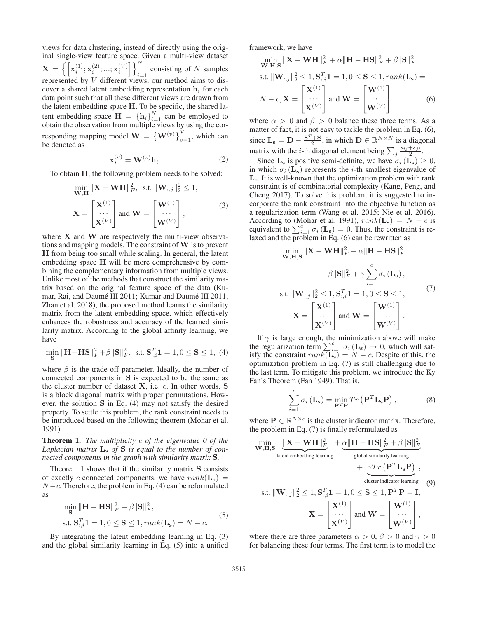views for data clustering, instead of directly using the original single-view feature space. Given a multi-view dataset  $\mathbf{X} = \left\{\left[\mathbf{x}_i^{(1)};\mathbf{x}_i^{(2)};\allowbreak...;\mathbf{x}_i^{(V)}\right]\right\}_{i=1}^N$ consisting of N samples represented by V different views, our method aims to discover a shared latent embedding representation  $h_i$  for each data point such that all these different views are drawn from the latent embedding space **H**. To be specific, the shared latent embedding space  $\mathbf{H} = \{\mathbf{h}_i\}_{i=1}^N$  can be employed to obtain the observation from multiple views by using the corobtain the observation from multiple views by using the corresponding mapping model  $\mathbf{W} = \left\{ \mathbf{W}^{(v)} \right\}_{v=1}^{V}$ , which can be denoted as

$$
\mathbf{x}_i^{(v)} = \mathbf{W}^{(v)} \mathbf{h}_i.
$$
 (2)

To obtain **H**, the following problem needs to be solved:

$$
\begin{aligned}\n\min_{\mathbf{W}, \mathbf{H}} \|\mathbf{X} - \mathbf{W} \mathbf{H}\|_{F}^{2}, \text{ s.t. } \|\mathbf{W}_{:,j}\|_{2}^{2} \leq 1, \\
\mathbf{X} = \begin{bmatrix} \mathbf{X}^{(1)} \\ \cdots \\ \mathbf{X}^{(V)} \end{bmatrix} \text{ and } \mathbf{W} = \begin{bmatrix} \mathbf{W}^{(1)} \\ \cdots \\ \mathbf{W}^{(V)} \end{bmatrix},\n\end{aligned} (3)
$$

where **X** and **W** are respectively the multi-view observations and mapping models. The constraint of**W** is to prevent **H** from being too small while scaling. In general, the latent embedding space **H** will be more comprehensive by combining the complementary information from multiple views. Unlike most of the methods that construct the similarity matrix based on the original feature space of the data (Kumar, Rai, and Daumé III 2011; Kumar and Daumé III 2011; Zhan et al. 2018), the proposed method learns the similarity matrix from the latent embedding space, which effectively enhances the robustness and accuracy of the learned similarity matrix. According to the global affinity learning, we have

$$
\min_{\mathbf{S}} \|\mathbf{H} - \mathbf{H}\mathbf{S}\|_F^2 + \beta \|\mathbf{S}\|_F^2, \text{ s.t. } \mathbf{S}_{:,i}^T \mathbf{1} = 1, 0 \le \mathbf{S} \le 1, (4)
$$

where  $\beta$  is the trade-off parameter. Ideally, the number of connected components in **S** is expected to be the same as the cluster number of dataset **X**, i.e. c. In other words, **S** is a block diagonal matrix with proper permutations. However, the solution **S** in Eq. (4) may not satisfy the desired property. To settle this problem, the rank constraint needs to be introduced based on the following theorem (Mohar et al. 1991).

Theorem 1. *The multiplicity* c *of the eigenvalue 0 of the Laplacian matrix* **L<sup>s</sup>** *of* **S** *is equal to the number of connected components in the graph with similarity matrix* **S***.*

Theorem 1 shows that if the similarity matrix **S** consists of exactly c connected components, we have  $rank(\mathbf{L_s})$  =  $N - c$ . Therefore, the problem in Eq. (4) can be reformulated as

$$
\min_{\mathbf{S}} \|\mathbf{H} - \mathbf{H}\mathbf{S}\|_F^2 + \beta \|\mathbf{S}\|_F^2,
$$
  
s.t. 
$$
\mathbf{S}_{:,i}^T \mathbf{1} = 1, 0 \le \mathbf{S} \le 1, rank(\mathbf{L}_\mathbf{s}) = N - c.
$$
 (5)

By integrating the latent embedding learning in Eq. (3) and the global similarity learning in Eq. (5) into a unified

framework, we have

$$
\min_{\mathbf{W}, \mathbf{H}, \mathbf{S}} \|\mathbf{X} - \mathbf{W}\mathbf{H}\|_{F}^{2} + \alpha \|\mathbf{H} - \mathbf{H}\mathbf{S}\|_{F}^{2} + \beta \|\mathbf{S}\|_{F}^{2},
$$
  
s.t. 
$$
\|\mathbf{W}_{:,j}\|_{2}^{2} \leq 1, \mathbf{S}_{:,i}^{T} \mathbf{1} = 1, 0 \leq \mathbf{S} \leq 1, rank(\mathbf{L}_{\mathbf{s}}) =
$$

$$
N - c, \mathbf{X} = \begin{bmatrix} \mathbf{X}^{(1)} \\ \cdots \\ \mathbf{X}^{(V)} \end{bmatrix} \text{ and } \mathbf{W} = \begin{bmatrix} \mathbf{W}^{(1)} \\ \cdots \\ \mathbf{W}^{(V)} \end{bmatrix},
$$
(6)

where  $\alpha > 0$  and  $\beta > 0$  balance these three terms. As a matter of fact, it is not easy to tackle the problem in Eq. (6), since  $\mathbf{L}_s = \mathbf{D} - \frac{\mathbf{S}^T + \mathbf{S}}{2}$ , in which  $\mathbf{D} \in \mathbb{R}^{N \times N}$  is a diagonal<br>matrix with the *i* th diagonal alamant being  $\sum s_{ij} + s_{ji}$ matrix with the *i*-th diagonal element being  $\sum_{j} \frac{s_{ij} + s_{ji}}{2}$ .

Since  $\mathbf{L}_s$  is positive semi-definite, we have  $\sigma_i(\mathbf{L}_s) \geq 0$ , in which  $\sigma_i$  ( $\mathbf{L}_s$ ) represents the *i*-th smallest eigenvalue of **Ls**. It is well-known that the optimization problem with rank constraint is of combinatorial complexity (Kang, Peng, and Cheng 2017). To solve this problem, it is suggested to incorporate the rank constraint into the objective function as a regularization term (Wang et al. 2015; Nie et al. 2016). According to (Mohar et al. 1991),  $rank(\mathbf{L_s}) = N - c$  is equivalent to  $\sum_{i=1}^{c} \sigma_i (\mathbf{L_s}) = 0$ . Thus, the constraint is re-<br>laxed and the problem in Eq. (6) can be rewritten as

$$
\min_{\mathbf{W}, \mathbf{H}, \mathbf{S}} \|\mathbf{X} - \mathbf{W}\mathbf{H}\|_{F}^{2} + \alpha \|\mathbf{H} - \mathbf{H}\mathbf{S}\|_{F}^{2}
$$
\n
$$
+ \beta \|\mathbf{S}\|_{F}^{2} + \gamma \sum_{i=1}^{c} \sigma_{i}(\mathbf{L}_{\mathbf{s}}),
$$
\n
$$
\text{s.t. } \|\mathbf{W}_{:,j}\|_{2}^{2} \leq 1, \mathbf{S}_{:,i}^{T}\mathbf{1} = 1, 0 \leq \mathbf{S} \leq 1,
$$
\n
$$
\mathbf{X} = \begin{bmatrix} \mathbf{X}^{(1)} \\ \cdots \\ \mathbf{X}^{(V)} \end{bmatrix} \text{ and } \mathbf{W} = \begin{bmatrix} \mathbf{W}^{(1)} \\ \cdots \\ \mathbf{W}^{(V)} \end{bmatrix}.
$$
\n
$$
(7)
$$

If  $\gamma$  is large enough, the minimization above will make the regularization term  $\sum_{i=1}^{c} \sigma_i (\mathbf{L_s}) \to 0$ , which will satisfy the constraint  $rank(\mathbf{L_s}) = N - c$ . Despite of this the isfy the constraint  $rank(\mathbf{L}_s) = N - c$ . Despite of this, the optimization problem in Eq. (7) is still challenging due to the last term. To mitigate this problem, we introduce the Ky Fan's Theorem (Fan 1949). That is,

$$
\sum_{i=1}^{c} \sigma_i \left( \mathbf{L_s} \right) = \min_{\mathbf{P}^T \mathbf{P}} Tr\left( \mathbf{P}^T \mathbf{L_s} \mathbf{P} \right),\tag{8}
$$

where  $P \in \mathbb{R}^{N \times c}$  is the cluster indicator matrix. Therefore, the problem in Eq. (7) is finally reformulated as

$$
\begin{aligned}\n\min_{\mathbf{W}, \mathbf{H}, \mathbf{S}} \underbrace{\|\mathbf{X} - \mathbf{W}\mathbf{H}\|_{F}^{2}}_{\text{latent embedding learning}} + \underbrace{\alpha \|\mathbf{H} - \mathbf{H}\mathbf{S}\|_{F}^{2} + \beta \|\mathbf{S}\|_{F}^{2}}_{\text{global similarity learning}} \\
&+ \underbrace{\gamma Tr\left(\mathbf{P}^{T}\mathbf{L}_{\mathbf{s}}\mathbf{P}\right)}_{\text{cluster indicator learning}}, \\
\text{s.t. } \|\mathbf{W}_{:,j}\|_{2}^{2} \leq 1, \mathbf{S}_{:,i}^{T} \mathbf{1} = 1, 0 \leq \mathbf{S} \leq 1, \mathbf{P}^{T}\mathbf{P} = \mathbf{I}, \\
\mathbf{X} = \begin{bmatrix} \mathbf{X}^{(1)} \\ \cdots \\ \mathbf{X}^{(V)} \end{bmatrix} \text{ and } \mathbf{W} = \begin{bmatrix} \mathbf{W}^{(1)} \\ \cdots \\ \mathbf{W}^{(V)} \end{bmatrix},\n\end{aligned}
$$

where there are three parameters  $\alpha > 0$ ,  $\beta > 0$  and  $\gamma > 0$ for balancing these four terms. The first term is to model the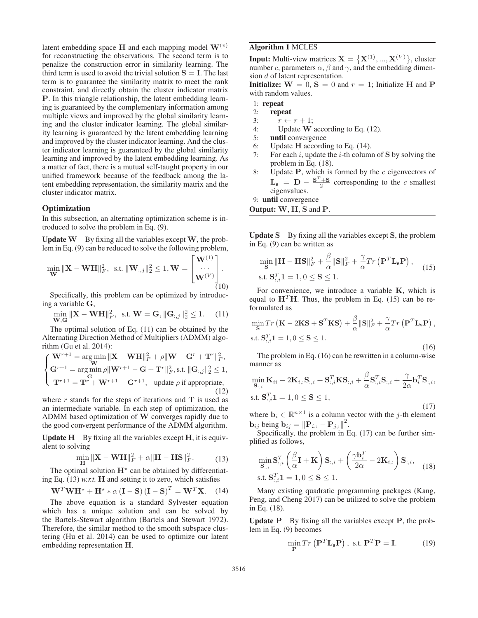latent embedding space **H** and each mapping model  $W^{(v)}$ for reconstructing the observations. The second term is to penalize the construction error in similarity learning. The third term is used to avoid the trivial solution  $S = I$ . The last term is to guarantee the similarity matrix to meet the rank constraint, and directly obtain the cluster indicator matrix **P**. In this triangle relationship, the latent embedding learning is guaranteed by the complementary information among multiple views and improved by the global similarity learning and the cluster indicator learning. The global similarity learning is guaranteed by the latent embedding learning and improved by the cluster indicator learning. And the cluster indicator learning is guaranteed by the global similarity learning and improved by the latent embedding learning. As a matter of fact, there is a mutual self-taught property in our unified framework because of the feedback among the latent embedding representation, the similarity matrix and the cluster indicator matrix.

### **Optimization**

In this subsection, an alternating optimization scheme is introduced to solve the problem in Eq. (9).

Update **W** By fixing all the variables except **W**, the problem in Eq. (9) can be reduced to solve the following problem,

$$
\min_{\mathbf{W}} \|\mathbf{X} - \mathbf{W}\mathbf{H}\|_F^2, \text{ s.t. } \|\mathbf{W}_{:,j}\|_2^2 \le 1, \mathbf{W} = \begin{bmatrix} \mathbf{W}^{(1)} \\ \cdots \\ \mathbf{W}^{(V)} \end{bmatrix}.
$$

Specifically, this problem can be optimized by introducing a variable **G**,

$$
\min_{\mathbf{W}, \mathbf{G}} \|\mathbf{X} - \mathbf{W}\mathbf{H}\|_{F}^{2}, \text{ s.t. } \mathbf{W} = \mathbf{G}, \|\mathbf{G}_{:,j}\|_{2}^{2} \le 1. \tag{11}
$$

The optimal solution of Eq. (11) can be obtained by the Alternating Direction Method of Multipliers (ADMM) algorithm (Gu et al. 2014):

$$
\begin{cases} \mathbf{W}^{r+1} = \arg\min_{\mathbf{W}} \|\mathbf{X} - \mathbf{W}\mathbf{H}\|_{F}^{2} + \rho \|\mathbf{W} - \mathbf{G}^{r} + \mathbf{T}^{r}\|_{F}^{2}, \\ \mathbf{G}^{r+1} = \arg\min_{\mathbf{G}} \rho \|\mathbf{W}^{r+1} - \mathbf{G} + \mathbf{T}^{r}\|_{F}^{2}, \text{s.t. } \|\mathbf{G}_{:,j}\|_{2}^{2} \leq 1, \\ \mathbf{T}^{r+1} = \mathbf{T}^{r} + \mathbf{W}^{r+1} - \mathbf{G}^{r+1}, \text{ update } \rho \text{ if appropriate,} \end{cases} \tag{12}
$$

where  $r$  stands for the steps of iterations and  $T$  is used as an intermediate variable. In each step of optimization, the ADMM based optimization of **W** converges rapidly due to the good convergent performance of the ADMM algorithm.

**Update**  $H$  By fixing all the variables except  $H$ , it is equivalent to solving

$$
\min_{\mathbf{H}} \|\mathbf{X} - \mathbf{W}\mathbf{H}\|_{F}^{2} + \alpha \|\mathbf{H} - \mathbf{H}\mathbf{S}\|_{F}^{2}.
$$
 (13)

**H** If  $\mathbf{H}^*$  can be obtained by differentiating Eq. (13) *w.r.t.* **H** and setting it to zero, which satisfies

$$
\mathbf{W}^T \mathbf{W} \mathbf{H}^* + \mathbf{H}^* * \alpha (\mathbf{I} - \mathbf{S}) (\mathbf{I} - \mathbf{S})^T = \mathbf{W}^T \mathbf{X}.
$$
 (14)  
The above equation is a standard Sylvester equation

which has a unique solution and can be solved by the Bartels-Stewart algorithm (Bartels and Stewart 1972). Therefore, the similar method to the smooth subspace clustering (Hu et al. 2014) can be used to optimize our latent embedding representation **H**.

# Algorithm 1 MCLES

**Input:** Multi-view matrices  $\mathbf{X} = \{ \mathbf{X}^{(1)}, ..., \mathbf{X}^{(V)} \}$ , cluster number c parameters  $\alpha$ ,  $\beta$  and  $\gamma$  and the embedding dimennumber c, parameters  $\alpha$ ,  $\beta$  and  $\gamma$ , and the embedding dimension d of latent representation.

**Initialize:**  $W = 0$ ,  $S = 0$  and  $r = 1$ ; Initialize **H** and **P** with random values.

- 1: repeat
- 2: repeat
- 3:  $r \leftarrow r + 1;$ <br>4: Update W
- Update **W** according to Eq. (12).
- 5: until convergence
- 6: Update **H** according to Eq. (14).
- 7: For each i, update the i-th column of **S** by solving the problem in Eq. (18).
- 8: Update  $P$ , which is formed by the  $c$  eigenvectors of  $\mathbf{L}_s = \mathbf{D} - \frac{\mathbf{S}^T + \mathbf{S}}{2}$  corresponding to the c smallest eigenvalues.
- 9: until convergence
- Output: **W**, **H**, **S** and **P**.

Update **S** By fixing all the variables except **S**, the problem in Eq. (9) can be written as

$$
\min_{\mathbf{S}} \|\mathbf{H} - \mathbf{H}\mathbf{S}\|_F^2 + \frac{\beta}{\alpha} \|\mathbf{S}\|_F^2 + \frac{\gamma}{\alpha} Tr\left(\mathbf{P}^T \mathbf{L}_\mathbf{s} \mathbf{P}\right),
$$
  
s.t.  $\mathbf{S}_{:,i}^T \mathbf{1} = 1, 0 \le \mathbf{S} \le 1.$  (15)

For convenience, we introduce a variable **K**, which is equal to  $H<sup>T</sup>H$ . Thus, the problem in Eq. (15) can be reformulated as

$$
\min_{\mathbf{S}} Tr\left(\mathbf{K} - 2\mathbf{K}\mathbf{S} + \mathbf{S}^T \mathbf{K}\mathbf{S}\right) + \frac{\beta}{\alpha} \|\mathbf{S}\|_F^2 + \frac{\gamma}{\alpha} Tr\left(\mathbf{P}^T \mathbf{L}_\mathbf{s} \mathbf{P}\right),
$$
  
s.t.  $\mathbf{S}_{:,i}^T \mathbf{1} = 1, 0 \le \mathbf{S} \le 1.$  (16)

The problem in Eq. (16) can be rewritten in a column-wise manner as

$$
\min_{\mathbf{S}_{:,i}} \mathbf{K}_{ii} - 2\mathbf{K}_{i,:} \mathbf{S}_{:,i} + \mathbf{S}_{:,i}^T \mathbf{K} \mathbf{S}_{:,i} + \frac{\beta}{\alpha} \mathbf{S}_{:,i}^T \mathbf{S}_{:,i} + \frac{\gamma}{2\alpha} \mathbf{b}_i^T \mathbf{S}_{:,i},
$$
s.t.  $\mathbf{S}_{:,i}^T \mathbf{1} = 1, 0 \le \mathbf{S} \le 1,$  (17)

where  $\mathbf{b}_i \in \mathbb{R}^{n \times 1}$  is a column vector with the *j*-th element **b**<sub>ij</sub> being **b**<sub>ij</sub> =  $\|\mathbf{P}_{i,:} - \mathbf{P}_{j,:}\|^2$ .<br>
Specifically the problem in F

Specifically, the problem in Eq. (17) can be further simplified as follows,

$$
\min_{\mathbf{S}_{:,i}} \mathbf{S}_{:,i}^T \left( \frac{\beta}{\alpha} \mathbf{I} + \mathbf{K} \right) \mathbf{S}_{:,i} + \left( \frac{\gamma \mathbf{b}_i^T}{2\alpha} - 2\mathbf{K}_{i,:} \right) \mathbf{S}_{:,i},
$$
  
s.t.  $\mathbf{S}_{:,i}^T \mathbf{1} = 1, 0 \le \mathbf{S} \le 1.$  (18)

Many existing quadratic programming packages (Kang, Peng, and Cheng 2017) can be utilized to solve the problem in Eq. (18).

Update **P** By fixing all the variables except **P**, the problem in Eq. (9) becomes

$$
\min_{\mathbf{P}} Tr\left(\mathbf{P}^T \mathbf{L}_s \mathbf{P}\right), \text{ s.t. } \mathbf{P}^T \mathbf{P} = \mathbf{I}.
$$
 (19)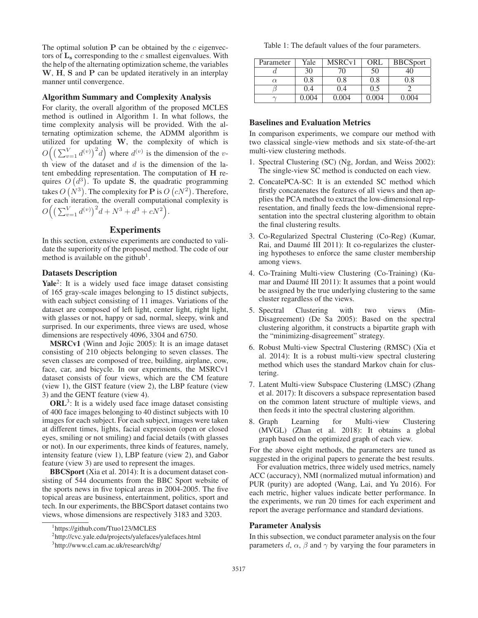The optimal solution  $P$  can be obtained by the  $c$  eigenvectors of  $L_s$  corresponding to the  $c$  smallest eigenvalues. With the help of the alternating optimization scheme, the variables **W**, **H**, **S** and **P** can be updated iteratively in an interplay manner until convergence.

### Algorithm Summary and Complexity Analysis

For clarity, the overall algorithm of the proposed MCLES method is outlined in Algorithm 1. In what follows, the time complexity analysis will be provided. With the alternating optimization scheme, the ADMM algorithm is utilized for updating **W**, the complexity of which is  $O((\sum_{v=1}^{V} d^{(v)})^2 d)$  where  $d^{(v)}$  is the dimension of the vth view of the dataset and  $d$  is the dimension of the latent embedding representation. The computation of **H** requires  $O(d^3)$ . To update **S**, the quadratic programming takes  $O(N^3)$ . The complexity for **P** is  $O(cN^2)$ . Therefore, for each iteration, the overall computational complexity is  $O\Big(\big(\sum_{v=1}^V d^{(v)}\big)^2 d + N^3 + d^3 + cN^2\Big).$ 

# Experiments

In this section, extensive experiments are conducted to validate the superiority of the proposed method. The code of our method is available on the github<sup>1</sup>.

### Datasets Description

Yale<sup>2</sup>: It is a widely used face image dataset consisting of 165 gray-scale images belonging to 15 distinct subjects, with each subject consisting of 11 images. Variations of the dataset are composed of left light, center light, right light, with glasses or not, happy or sad, normal, sleepy, wink and surprised. In our experiments, three views are used, whose dimensions are respectively 4096, 3304 and 6750.

MSRCv1 (Winn and Jojic 2005): It is an image dataset consisting of 210 objects belonging to seven classes. The seven classes are composed of tree, building, airplane, cow, face, car, and bicycle. In our experiments, the MSRCv1 dataset consists of four views, which are the CM feature (view 1), the GIST feature (view 2), the LBP feature (view 3) and the GENT feature (view 4).

 $ORL<sup>3</sup>$ : It is a widely used face image dataset consisting of 400 face images belonging to 40 distinct subjects with 10 images for each subject. For each subject, images were taken at different times, lights, facial expression (open or closed eyes, smiling or not smiling) and facial details (with glasses or not). In our experiments, three kinds of features, namely, intensity feature (view 1), LBP feature (view 2), and Gabor feature (view 3) are used to represent the images.

BBCSport (Xia et al. 2014): It is a document dataset consisting of 544 documents from the BBC Sport website of the sports news in five topical areas in 2004-2005. The five topical areas are business, entertainment, politics, sport and tech. In our experiments, the BBCSport dataset contains two views, whose dimensions are respectively 3183 and 3203.

Table 1: The default values of the four parameters.

| Parameter | Yale        | MSRC <sub>v1</sub> | ORL   | <b>BBCSport</b> |
|-----------|-------------|--------------------|-------|-----------------|
|           | 30          |                    | 50    | 40              |
| $\alpha$  | 0.8         | 0.8                | 0.8   | 0.8             |
|           | 0.4         | 0.4                | 0.5   |                 |
|           | $(1)$ ( $1$ | 0.004              | (.004 | (10)4           |

### Baselines and Evaluation Metrics

In comparison experiments, we compare our method with two classical single-view methods and six state-of-the-art multi-view clustering methods.

- 1. Spectral Clustering (SC) (Ng, Jordan, and Weiss 2002): The single-view SC method is conducted on each view.
- 2. ConcatePCA-SC: It is an extended SC method which firstly concatenates the features of all views and then applies the PCA method to extract the low-dimensional representation, and finally feeds the low-dimensional representation into the spectral clustering algorithm to obtain the final clustering results.
- 3. Co-Regularized Spectral Clustering (Co-Reg) (Kumar, Rai, and Daumé III 2011): It co-regularizes the clustering hypotheses to enforce the same cluster membership among views.
- 4. Co-Training Multi-view Clustering (Co-Training) (Kumar and Daumé III 2011): It assumes that a point would be assigned by the true underlying clustering to the same cluster regardless of the views.
- 5. Spectral Clustering with two views (Min-Disagreement) (De Sa 2005): Based on the spectral clustering algorithm, it constructs a bipartite graph with the "minimizing-disagreement" strategy.
- 6. Robust Multi-view Spectral Clustering (RMSC) (Xia et al. 2014): It is a robust multi-view spectral clustering method which uses the standard Markov chain for clustering.
- 7. Latent Multi-view Subspace Clustering (LMSC) (Zhang et al. 2017): It discovers a subspace representation based on the common latent structure of multiple views, and then feeds it into the spectral clustering algorithm.
- 8. Graph Learning for Multi-view Clustering (MVGL) (Zhan et al. 2018): It obtains a global graph based on the optimized graph of each view.

For the above eight methods, the parameters are tuned as suggested in the original papers to generate the best results.

For evaluation metrics, three widely used metrics, namely ACC (accuracy), NMI (normalized mutual information) and PUR (purity) are adopted (Wang, Lai, and Yu 2016). For each metric, higher values indicate better performance. In the experiments, we run 20 times for each experiment and report the average performance and standard deviations.

# Parameter Analysis

In this subsection, we conduct parameter analysis on the four parameters d,  $\alpha$ ,  $\beta$  and  $\gamma$  by varying the four parameters in

<sup>1</sup> https://github.com/Ttuo123/MCLES

<sup>2</sup> http://cvc.yale.edu/projects/yalefaces/yalefaces.html

<sup>3</sup> http://www.cl.cam.ac.uk/research/dtg/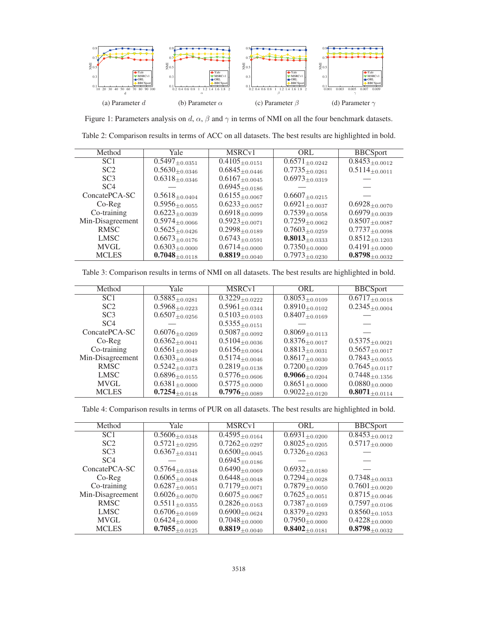

Figure 1: Parameters analysis on d,  $\alpha$ ,  $\beta$  and  $\gamma$  in terms of NMI on all the four benchmark datasets.

Table 2: Comparison results in terms of ACC on all datasets. The best results are highlighted in bold.

| Method           | Yale                  | MSRC <sub>v1</sub>               | ORL                              | <b>BBCSport</b>                |
|------------------|-----------------------|----------------------------------|----------------------------------|--------------------------------|
| SC <sub>1</sub>  | $0.5497_{\pm 0.0351}$ | $\overline{0.4105}_{\pm 0.0151}$ | $\overline{0.6571}_{\pm 0.0242}$ | $0.8453_{\pm0.0012}$           |
| SC <sub>2</sub>  | $0.5630_{\pm 0.0346}$ | $0.6845_{\pm 0.0446}$            | $0.7735_{\pm 0.0261}$            | $0.5114_{\pm 0.0011}$          |
| SC <sub>3</sub>  | $0.6318_{\pm 0.0346}$ | $0.6167_{\pm 0.0045}$            | $0.6973_{\pm 0.0319}$            |                                |
| SC <sub>4</sub>  |                       | $0.6945_{\pm 0.0186}$            |                                  |                                |
| ConcatePCA-SC    | $0.5618_{\pm 0.0404}$ | $0.6155_{\pm 0.0067}$            | $0.6607_{\pm 0.0215}$            |                                |
| $Co-Reg$         | $0.5956_{\pm0.0055}$  | $0.6233_{\pm 0.0057}$            | $0.6921_{\pm 0.0037}$            | $0.6928_{\pm 0.0070}$          |
| Co-training      | $0.6223_{\pm 0.0039}$ | $0.6918_{\pm 0.0099}$            | $0.7539_{\pm 0.0058}$            | $0.6979_{\pm 0.0039}$          |
| Min-Disagreement | $0.5974_{\pm 0.0066}$ | $0.5923_{\pm 0.0071}$            | $0.7259_{\pm0.0062}$             | $0.8507_{\pm 0.0087}$          |
| <b>RMSC</b>      | $0.5625_{\pm 0.0426}$ | $0.2998_{\pm 0.0189}$            | $0.7603_{\pm 0.0259}$            | $0.7737_{\pm 0.0098}$          |
| <b>LMSC</b>      | $0.6673_{\pm 0.0176}$ | $0.6743_{\pm 0.0591}$            | $0.8013_{\pm 0.0333}$            | $0.8512_{\pm 0.1203}$          |
| <b>MVGL</b>      | $0.6303_{\pm 0.0000}$ | $0.6714_{\pm 0.0000}$            | $0.7350_{\pm 0.0000}$            | $0.4191_{\pm 0.0000}$          |
| <b>MCLES</b>     | $0.7048_{\pm0.0118}$  | $0.8819_{\pm0.0040}$             | $0.7973_{\pm 0.0230}$            | $\textbf{0.8798}_{\pm 0.0032}$ |

Table 3: Comparison results in terms of NMI on all datasets. The best results are highlighted in bold.

| Method           | Yale                  | MSRC <sub>v1</sub>               | ORL                              | <b>BBCSport</b>                  |
|------------------|-----------------------|----------------------------------|----------------------------------|----------------------------------|
| SC <sub>1</sub>  | $0.5885_{\pm 0.0281}$ | $\overline{0.32}29_{\pm 0.0222}$ | $\overline{0.8053}_{\pm 0.0109}$ | $\overline{0.6717}_{\pm 0.0018}$ |
| SC <sub>2</sub>  | $0.5968_{\pm 0.0223}$ | $0.5961_{\pm 0.0344}$            | $0.8910_{\pm 0.0102}$            | $0.2345_{\pm 0.0004}$            |
| SC <sub>3</sub>  | $0.6507_{\pm 0.0256}$ | $0.5103_{\pm 0.0103}$            | $0.8407_{\pm 0.0169}$            |                                  |
| SC <sub>4</sub>  |                       | $0.5355_{\pm 0.0151}$            |                                  |                                  |
| ConcatePCA-SC    | $0.6076_{\pm 0.0269}$ | $0.5087_{\pm0.0092}$             | $0.8069_{\pm 0.0113}$            |                                  |
| $Co-Reg$         | $0.6362_{\pm 0.0041}$ | $0.5104_{\pm 0.0036}$            | $0.8376_{\pm 0.0017}$            | $0.5375_{\pm 0.0021}$            |
| Co-training      | $0.6561_{\pm 0.0049}$ | $0.6156_{\pm 0.0064}$            | $0.8813_{\pm 0.0031}$            | $0.5657_{\pm0.0017}$             |
| Min-Disagreement | $0.6303_{\pm 0.0048}$ | $0.5174_{\pm 0.0046}$            | $0.8617_{\pm 0.0030}$            | $0.7843_{\pm0.0055}$             |
| <b>RMSC</b>      | $0.5242_{\pm 0.0373}$ | $0.2819_{\pm 0.0138}$            | $0.7200_{\pm 0.0209}$            | $0.7645_{\pm0.0117}$             |
| LMSC             | $0.6896_{\pm 0.0155}$ | $0.5776_{\pm 0.0606}$            | $0.9066_{\pm 0.0204}$            | $0.7448_{\pm 0.1356}$            |
| <b>MVGL</b>      | $0.6381_{\pm 0.0000}$ | $0.5775_{\pm 0.0000}$            | $0.8651_{\pm 0.0000}$            | $0.0880_{\pm 0.0000}$            |
| <b>MCLES</b>     | $0.7254_{\pm0.0148}$  | $0.7976_{\pm0.0089}$             | $0.9022_{\pm 0.0120}$            | $0.8071_{\pm0.0114}$             |

Table 4: Comparison results in terms of PUR on all datasets. The best results are highlighted in bold.

| Method           | Yale                  | $\overline{\text{MSRC}}$ v1      | ORL                              | <b>BBCSport</b>                |
|------------------|-----------------------|----------------------------------|----------------------------------|--------------------------------|
| SC <sub>1</sub>  | $0.5606_{\pm 0.0348}$ | $\overline{0.4595}_{\pm 0.0164}$ | $\overline{0.6931}_{\pm 0.0200}$ | $0.8453_{\pm0.0012}$           |
| SC <sub>2</sub>  | $0.5721_{\pm 0.0295}$ | $0.7262_{\pm 0.0297}$            | $0.8025_{\pm 0.0205}$            | $0.5717_{\pm 0.0000}$          |
| SC <sub>3</sub>  | $0.6367_{\pm 0.0341}$ | $0.6500_{\pm 0.0045}$            | $0.7326_{\pm 0.0263}$            |                                |
| SC <sub>4</sub>  |                       | $0.6945_{\pm 0.0186}$            |                                  |                                |
| ConcatePCA-SC    | $0.5764_{\pm 0.0348}$ | $0.6490_{\pm 0.0069}$            | $0.6932_{\pm 0.0180}$            |                                |
| $Co-Reg$         | $0.6065_{\pm 0.0048}$ | $0.6448_{\pm0.0048}$             | $0.7294_{\pm 0.0028}$            | $0.7348_{\pm0.0033}$           |
| Co-training      | $0.6287_{\pm 0.0051}$ | $0.7179_{\pm 0.0071}$            | $0.7879_{\pm 0.0050}$            | $0.7601_{\pm 0.0020}$          |
| Min-Disagreement | $0.6026_{\pm 0.0070}$ | $0.6075_{\pm 0.0067}$            | $0.7625_{\pm 0.0051}$            | $0.8715_{\pm 0.0046}$          |
| <b>RMSC</b>      | $0.5511_{\pm 0.0355}$ | $0.2826_{\pm 0.0163}$            | $0.7387_{\pm 0.0169}$            | $0.7597_{\pm0.0106}$           |
| <b>LMSC</b>      | $0.6706_{\pm0.0169}$  | $0.6900_{\pm 0.0624}$            | $0.8379_{\pm 0.0293}$            | $0.8560_{\pm 0.1053}$          |
| <b>MVGL</b>      | $0.6424_{\pm0.0000}$  | $0.7048_{\pm 0.0000}$            | $0.7950_{\pm 0.0000}$            | $0.4228_{\pm 0.0000}$          |
| <b>MCLES</b>     | $0.7055_{\pm0.0125}$  | $0.8819_{\pm0.0040}$             | $0.8402_{\pm0.0181}$             | $\textbf{0.8798}_{\pm 0.0032}$ |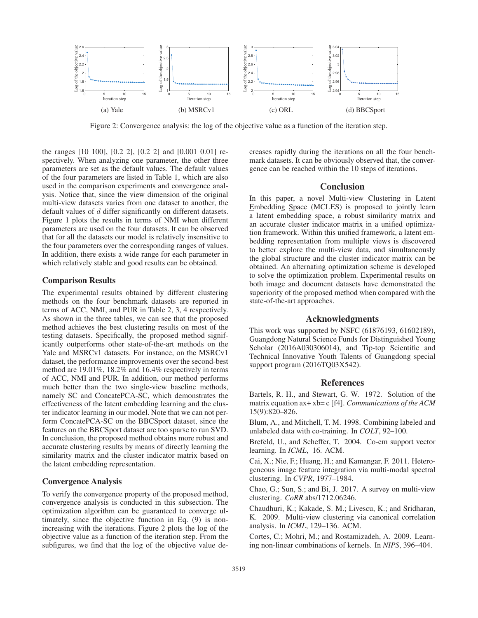

Figure 2: Convergence analysis: the log of the objective value as a function of the iteration step.

the ranges [10 100], [0.2 2], [0.2 2] and [0.001 0.01] respectively. When analyzing one parameter, the other three parameters are set as the default values. The default values of the four parameters are listed in Table 1, which are also used in the comparison experiments and convergence analysis. Notice that, since the view dimension of the original multi-view datasets varies from one dataset to another, the default values of d differ significantly on different datasets. Figure 1 plots the results in terms of NMI when different parameters are used on the four datasets. It can be observed that for all the datasets our model is relatively insensitive to the four parameters over the corresponding ranges of values. In addition, there exists a wide range for each parameter in which relatively stable and good results can be obtained.

#### Comparison Results

The experimental results obtained by different clustering methods on the four benchmark datasets are reported in terms of ACC, NMI, and PUR in Table 2, 3, 4 respectively. As shown in the three tables, we can see that the proposed method achieves the best clustering results on most of the testing datasets. Specifically, the proposed method significantly outperforms other state-of-the-art methods on the Yale and MSRCv1 datasets. For instance, on the MSRCv1 dataset, the performance improvements over the second-best method are 19.01%, 18.2% and 16.4% respectively in terms of ACC, NMI and PUR. In addition, our method performs much better than the two single-view baseline methods, namely SC and ConcatePCA-SC, which demonstrates the effectiveness of the latent embedding learning and the cluster indicator learning in our model. Note that we can not perform ConcatePCA-SC on the BBCSport dataset, since the features on the BBCSport dataset are too sparse to run SVD. In conclusion, the proposed method obtains more robust and accurate clustering results by means of directly learning the similarity matrix and the cluster indicator matrix based on the latent embedding representation.

### Convergence Analysis

To verify the convergence property of the proposed method, convergence analysis is conducted in this subsection. The optimization algorithm can be guaranteed to converge ultimately, since the objective function in Eq. (9) is nonincreasing with the iterations. Figure 2 plots the log of the objective value as a function of the iteration step. From the subfigures, we find that the log of the objective value decreases rapidly during the iterations on all the four benchmark datasets. It can be obviously observed that, the convergence can be reached within the 10 steps of iterations.

### **Conclusion**

In this paper, a novel Multi-view Clustering in Latent Embedding Space (MCLES) is proposed to jointly learn a latent embedding space, a robust similarity matrix and an accurate cluster indicator matrix in a unified optimization framework. Within this unified framework, a latent embedding representation from multiple views is discovered to better explore the multi-view data, and simultaneously the global structure and the cluster indicator matrix can be obtained. An alternating optimization scheme is developed to solve the optimization problem. Experimental results on both image and document datasets have demonstrated the superiority of the proposed method when compared with the state-of-the-art approaches.

# Acknowledgments

This work was supported by NSFC (61876193, 61602189), Guangdong Natural Science Funds for Distinguished Young Scholar (2016A030306014), and Tip-top Scientific and Technical Innovative Youth Talents of Guangdong special support program (2016TQ03X542).

#### References

Bartels, R. H., and Stewart, G. W. 1972. Solution of the matrix equation ax+ xb= c [f4]. *Communications of the ACM* 15(9):820–826.

Blum, A., and Mitchell, T. M. 1998. Combining labeled and unlabeled data with co-training. In *COLT*, 92–100.

Brefeld, U., and Scheffer, T. 2004. Co-em support vector learning. In *ICML*, 16. ACM.

Cai, X.; Nie, F.; Huang, H.; and Kamangar, F. 2011. Heterogeneous image feature integration via multi-modal spectral clustering. In *CVPR*, 1977–1984.

Chao, G.; Sun, S.; and Bi, J. 2017. A survey on multi-view clustering. *CoRR* abs/1712.06246.

Chaudhuri, K.; Kakade, S. M.; Livescu, K.; and Sridharan, K. 2009. Multi-view clustering via canonical correlation analysis. In *ICML*, 129–136. ACM.

Cortes, C.; Mohri, M.; and Rostamizadeh, A. 2009. Learning non-linear combinations of kernels. In *NIPS*, 396–404.